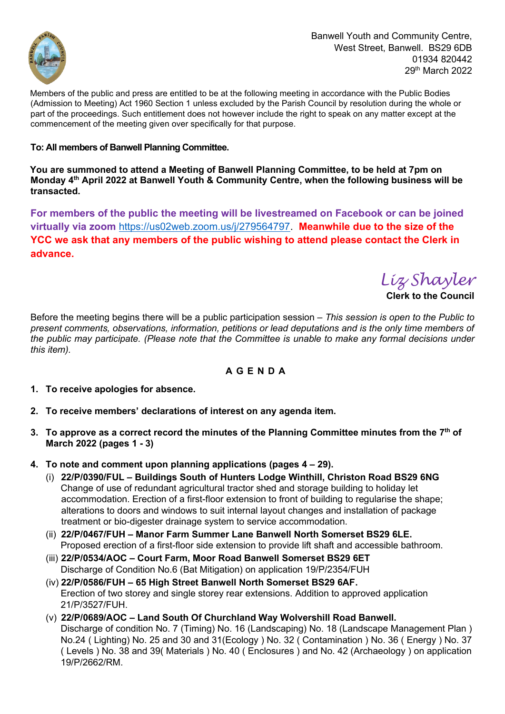

Members of the public and press are entitled to be at the following meeting in accordance with the Public Bodies (Admission to Meeting) Act 1960 Section 1 unless excluded by the Parish Council by resolution during the whole or part of the proceedings. Such entitlement does not however include the right to speak on any matter except at the commencement of the meeting given over specifically for that purpose.

# **To: All members of Banwell Planning Committee.**

**You are summoned to attend a Meeting of Banwell Planning Committee, to be held at 7pm on Monday 4 th April 2022 at Banwell Youth & Community Centre, when the following business will be transacted.**

**For members of the public the meeting will be livestreamed on Facebook or can be joined virtually via zoom** [https://us02web.zoom.us/j/279564797.](https://us02web.zoom.us/j/279564797) **Meanwhile due to the size of the YCC we ask that any members of the public wishing to attend please contact the Clerk in advance.**

*Liz Shayler*

**Clerk to the Council** 

Before the meeting begins there will be a public participation session *– This session is open to the Public to present comments, observations, information, petitions or lead deputations and is the only time members of the public may participate. (Please note that the Committee is unable to make any formal decisions under this item).* 

# **A G E N D A**

- **1. To receive apologies for absence.**
- **2. To receive members' declarations of interest on any agenda item.**
- **3. To approve as a correct record the minutes of the Planning Committee minutes from the 7 th of March 2022 (pages 1 - 3)**
- **4. To note and comment upon planning applications (pages 4 – 29).**
	- (i) **22/P/0390/FUL – Buildings South of Hunters Lodge Winthill, Christon Road BS29 6NG** Change of use of redundant agricultural tractor shed and storage building to holiday let accommodation. Erection of a first-floor extension to front of building to regularise the shape; alterations to doors and windows to suit internal layout changes and installation of package treatment or bio-digester drainage system to service accommodation.
	- (ii) **22/P/0467/FUH – Manor Farm Summer Lane Banwell North Somerset BS29 6LE.** Proposed erection of a first-floor side extension to provide lift shaft and accessible bathroom.
	- (iii) **22/P/0534/AOC – Court Farm, Moor Road Banwell Somerset BS29 6ET** Discharge of Condition No.6 (Bat Mitigation) on application 19/P/2354/FUH
	- (iv) **22/P/0586/FUH – 65 High Street Banwell North Somerset BS29 6AF.**  Erection of two storey and single storey rear extensions. Addition to approved application 21/P/3527/FUH.
	- (v) **22/P/0689/AOC – Land South Of Churchland Way Wolvershill Road Banwell.**  Discharge of condition No. 7 (Timing) No. 16 (Landscaping) No. 18 (Landscape Management Plan ) No.24 ( Lighting) No. 25 and 30 and 31(Ecology ) No. 32 ( Contamination ) No. 36 ( Energy ) No. 37 ( Levels ) No. 38 and 39( Materials ) No. 40 ( Enclosures ) and No. 42 (Archaeology ) on application 19/P/2662/RM.